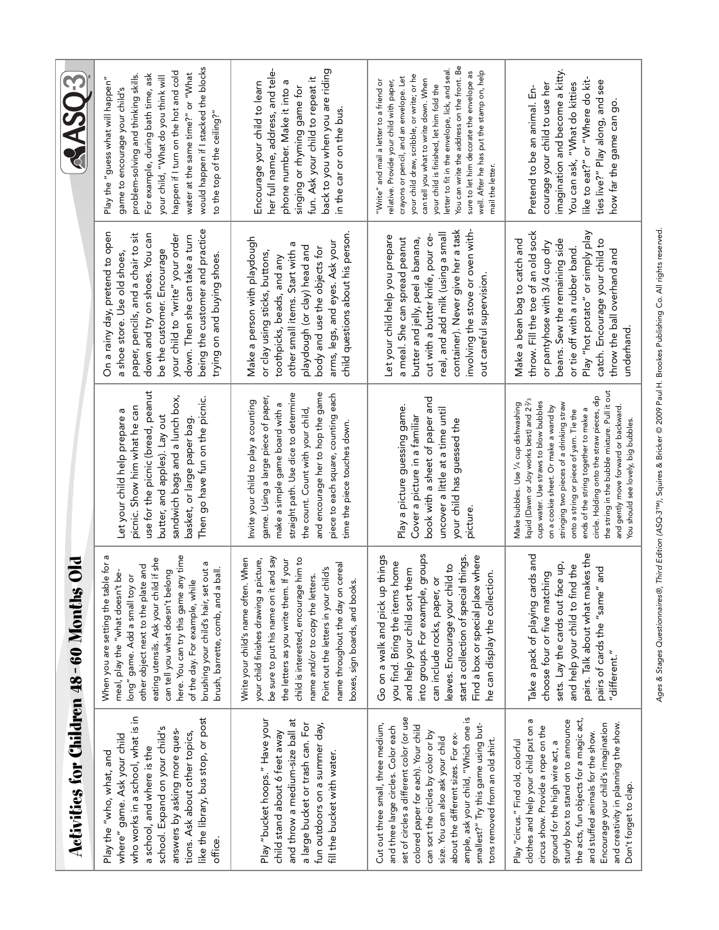| <b>AASO3</b>                                     | would happen if I stacked the blocks<br>happen if I turn on the hot and cold<br>water at the same time?" or "What<br>For example, during bath time, ask<br>problem-solving and thinking skills.<br>your child, "What do you think will<br>Play the "guess what will happen"<br>game to encourage your child's<br>to the top of the ceiling?"                                                      | back to you when you are riding<br>her full name, address, and tele-<br>fun. Ask your child to repeat it<br>Encourage your child to learn<br>phone number. Make it into<br>singing or rhyming game for<br>in the car or on the bus.                                                                                                                              | You can write the address on the front. Be<br>letter to fit in the envelope, lick, and seal.<br>well. After he has put the stamp on, help<br>sure to let him decorate the envelope as<br>your child draw, scribble, or write; or he<br>crayons or pencil, and an envelope. Let<br>can tell you what to write down. When<br>relative. Provide your child with paper,<br>"Write" and mail a letter to a friend or<br>your child is finished, let him fold the<br>mail the letter. | imagination and become a kitty<br>like to eat?" or "Where do kit-<br>ties live?" Play along, and see<br>You can ask, "What do kitties<br>courage your child to use her<br>Pretend to be an animal. En-<br>how far the game can go                                                                                                                                                                                                                                                                          |
|--------------------------------------------------|---------------------------------------------------------------------------------------------------------------------------------------------------------------------------------------------------------------------------------------------------------------------------------------------------------------------------------------------------------------------------------------------------|------------------------------------------------------------------------------------------------------------------------------------------------------------------------------------------------------------------------------------------------------------------------------------------------------------------------------------------------------------------|---------------------------------------------------------------------------------------------------------------------------------------------------------------------------------------------------------------------------------------------------------------------------------------------------------------------------------------------------------------------------------------------------------------------------------------------------------------------------------|------------------------------------------------------------------------------------------------------------------------------------------------------------------------------------------------------------------------------------------------------------------------------------------------------------------------------------------------------------------------------------------------------------------------------------------------------------------------------------------------------------|
| $\bf{S}$<br>Activities for Children 48-60 Months | being the customer and practice<br>On a rainy day, pretend to open<br>paper, pencils, and a chair to sit<br>down and try on shoes. You can<br>your child to "write" your order<br>down. Then she can take a turn<br>be the customer. Encourage<br>trying on and buying shoes.<br>a shoe store. Use old shoes                                                                                      | child questions about his person.<br>Make a person with playdough<br>arms, legs, and eyes. Ask your<br>playdough (or clay) head and<br>body and use the objects for<br>other small items. Start with<br>or clay using sticks, buttons,<br>toothpicks, beads, and any                                                                                             | container). Never give her a task<br>involving the stove or oven with-<br>real, and add milk (using a small<br>Let your child help you prepare<br>cut with a butter knife, pour ce-<br>a meal. She can spread peanut<br>butter and jelly, peel a banana,<br>out careful supervision                                                                                                                                                                                             | throw. Fill the toe of an old sock<br>Play "hot potato" or simply play<br>Make a bean bag to catch and<br>beans. Sew the remaining side<br>catch. Encourage your child to<br>or pantyhose with 3/4 cup dry<br>or tie off with a rubber band<br>throw the ball overhand and<br>underhand                                                                                                                                                                                                                    |
|                                                  | use for the picnic (bread, peanut<br>sandwich bags and a lunch box,<br>Then go have fun on the picnic.<br>picnic. Show him what he can<br>Let your child help prepare a<br>butter, and apples). Lay out<br>basket, or large paper bag.                                                                                                                                                            | and encourage her to hop the game<br>straight path. Use dice to determine<br>piece to each square, counting each<br>game. Using a large piece of paper,<br>Invite your child to play a counting<br>make a simple game board with a<br>the count. Count with your child<br>time the piece touches down                                                            | book with a sheet of paper and<br>Play a picture guessing game<br>uncover a little at a time until<br>Cover a picture in a familiar<br>your child has guessed the<br>picture                                                                                                                                                                                                                                                                                                    | the string in the bubble mixture. Pull it out<br>circle. Holding onto the straw pieces, dip<br>liquid (Dawn or Joy works best) and 2 <sup>2</sup> / <sub>3</sub><br>cups water. Use straws to blow bubbles<br>Make bubbles. Use 1/4 cup dishwashing<br>stringing two pieces of a drinking straw<br>and gently move forward or backward.<br>on a cookie sheet. Or make a wand by<br>ends of the string together to make a<br>onto a string or piece of yarn. Tie the<br>You should see lovely, big bubbles. |
|                                                  | here. You can try this game any time<br>When you are setting the table for a<br>eating utensils. Ask your child if she<br>a pro<br>other object next to the plate and<br>$b$ all.<br>ۈ<br>can tell you what doesn't belong<br>long" game. Add a small toy or<br>of the day. For example, while<br>meal, play the "what doesn't<br>brushing your child's hair, set<br>brush, barrette, comb, and a | be sure to put his name on it and say<br>Write your child's name often. When<br>him to<br>the letters as you write them. If your<br>your child finishes drawing a picture,<br>name throughout the day on cereal<br>Point out the letters in your child's<br>name and/or to copy the letters.<br>boxes, sign boards, and books.<br>child is interested, encourage | groups<br>Find a box or special place where<br>Go on a walk and pick up things<br>start a collection of special things<br>you find. Bring the items home<br>leaves. Encourage your child to<br>and help your child sort them<br>$\frac{1}{2}$<br>can include rocks, paper, or<br>he can display the collecti<br>into groups. For example,                                                                                                                                       | pairs. Talk about what makes the<br>Take a pack of playing cards and<br>sets. Lay the cards out face up,<br>and help your child to find the<br>and<br>choose four or five matching<br>pairs of cards the "same"<br>"different."                                                                                                                                                                                                                                                                            |
|                                                  | who works in a school, what is in<br>like the library, bus stop, or post<br>school. Expand on your child's<br>answers by asking more ques-<br>tions. Ask about other topics,<br>where" game. Ask your child<br>a school, and where is the<br>Play the "who, what, and<br>office.                                                                                                                  | Play "bucket hoops." Have your<br>and throw a medium-size ball at<br>a large bucket or trash can. For<br>fun outdoors on a summer day,<br>child stand about 6 feet away<br>fill the bucket with water.                                                                                                                                                           | ample, ask your child, "Which one is<br>set of circles a different color (or use<br>Cut out three small, three medium,<br>colored paper for each). Your child<br>smallest?" Try this game using but-<br>and three large circles. Color each<br>can sort the circles by color or by<br>about the different sizes. For ex-<br>size. You can also ask your child<br>tons removed from an old shirt.                                                                                | the acts, fun objects for a magic act,<br>clothes and help your child put on a<br>sturdy box to stand on to announce<br>and creativity in planning the show.<br>Encourage your child's imagination<br>circus show. Provide a rope on the<br>and stuffed animals for the show.<br>Play "circus." Find old, colorful<br>ground for the high wire act, a<br>Don't forget to clap.                                                                                                                             |

Ages & Stages Questionnaires®, Third Edition (ASQ-3™), Squires & Bricker @ 2009 Paul H. Brookes Publishing Co. All rights reserved. ™), Squires & Bricker © 2009 Paul H. Brookes Publishing Co. All rights reserved. Ages & Stages Questionnaires®, Third Edition (ASQ-3